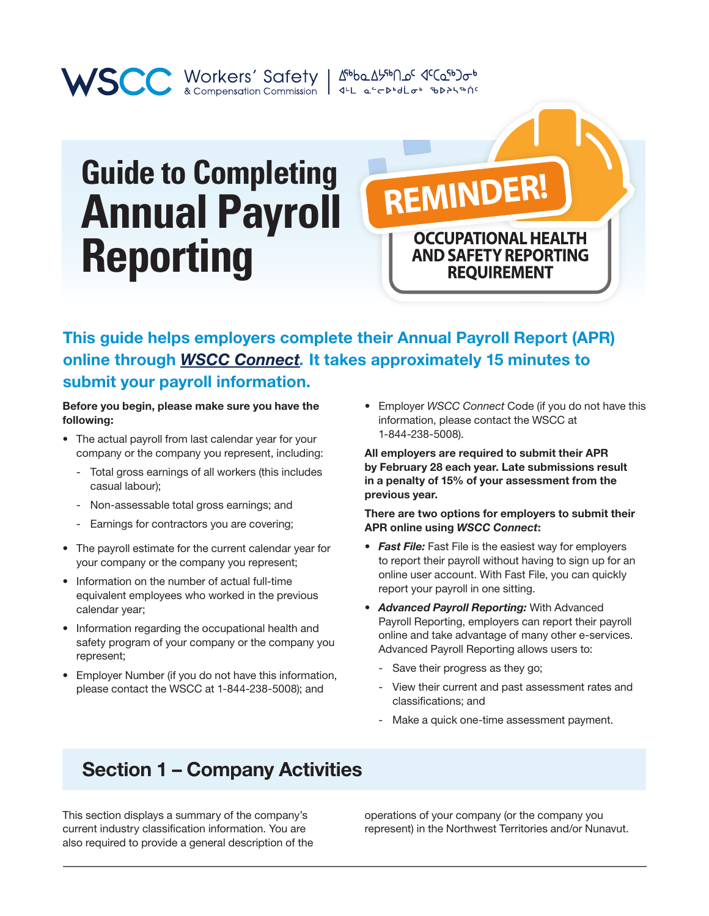# **Guide to Completing Annual Payroll Reporting**

WORKER' Safety | Abba AlfblaG (Cafb) or accompensation Commission | 4th are protected to the print

This guide helps employers complete their Annual Payroll Report (APR) online through *[WSCC Connect.](https://connect.wscc.nt.ca/)* It takes approximately 15 minutes to

REMINDER!

#### submit your payroll information.

Before you begin, please make sure you have the following:

- The actual payroll from last calendar year for your company or the company you represent, including:
	- Total gross earnings of all workers (this includes casual labour);
	- Non-assessable total gross earnings; and
	- Earnings for contractors you are covering;
- The payroll estimate for the current calendar year for your company or the company you represent;
- Information on the number of actual full-time equivalent employees who worked in the previous calendar year;
- Information regarding the occupational health and safety program of your company or the company you represent;
- Employer Number (if you do not have this information, please contact the WSCC at 1-844-238-5008); and

• Employer *WSCC Connect* Code (if you do not have this information, please contact the WSCC at 1-844-238-5008).

**OCCUPATIONAL HEALTH AND SAFETY REPORTING REQUIREMENT** 

All employers are required to submit their APR by February 28 each year. Late submissions result in a penalty of 15% of your assessment from the previous year.

#### There are two options for employers to submit their APR online using *WSCC Connect*:

- *• Fast File:* Fast File is the easiest way for employers to report their payroll without having to sign up for an online user account. With Fast File, you can quickly report your payroll in one sitting.
- *Advanced Payroll Reporting:* With Advanced Payroll Reporting, employers can report their payroll online and take advantage of many other e-services. Advanced Payroll Reporting allows users to:
	- Save their progress as they go;
	- View their current and past assessment rates and classifications; and
	- Make a quick one-time assessment payment.

## Section 1 – Company Activities

This section displays a summary of the company's current industry classification information. You are also required to provide a general description of the operations of your company (or the company you represent) in the Northwest Territories and/or Nunavut.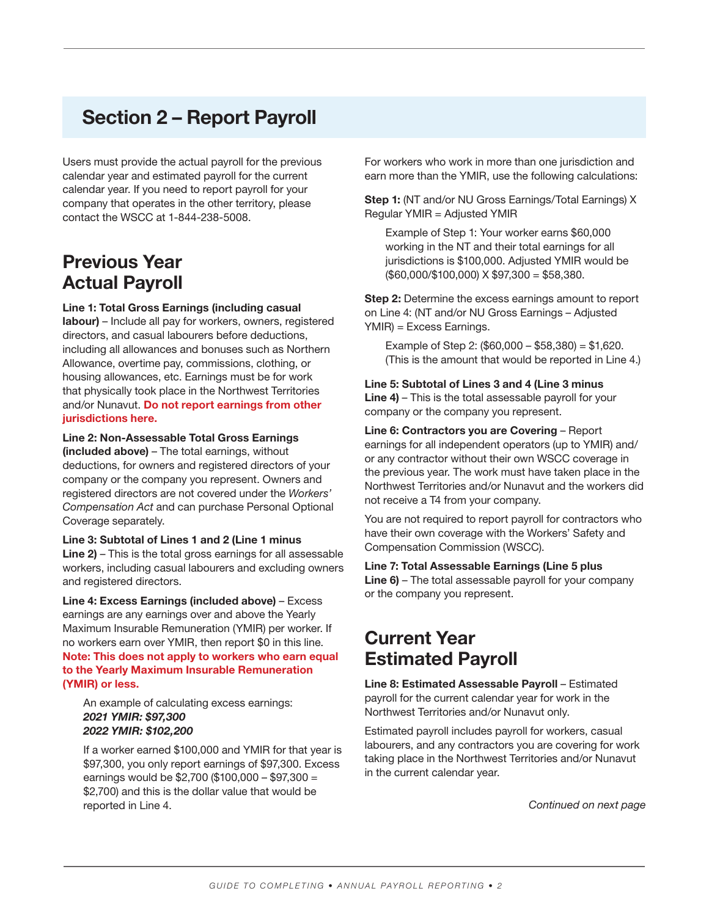## Section 2 – Report Payroll

Users must provide the actual payroll for the previous calendar year and estimated payroll for the current calendar year. If you need to report payroll for your company that operates in the other territory, please contact the WSCC at 1-844-238-5008.

#### Previous Year Actual Payroll

#### Line 1: Total Gross Earnings (including casual

labour) – Include all pay for workers, owners, registered directors, and casual labourers before deductions, including all allowances and bonuses such as Northern Allowance, overtime pay, commissions, clothing, or housing allowances, etc. Earnings must be for work that physically took place in the Northwest Territories and/or Nunavut. Do not report earnings from other jurisdictions here.

#### Line 2: Non-Assessable Total Gross Earnings

(included above) – The total earnings, without deductions, for owners and registered directors of your company or the company you represent. Owners and registered directors are not covered under the *Workers' Compensation Act* and can purchase Personal Optional Coverage separately.

Line 3: Subtotal of Lines 1 and 2 (Line 1 minus Line 2) – This is the total gross earnings for all assessable workers, including casual labourers and excluding owners and registered directors.

Line 4: Excess Earnings (included above) – Excess earnings are any earnings over and above the Yearly Maximum Insurable Remuneration (YMIR) per worker. If no workers earn over YMIR, then report \$0 in this line. Note: This does not apply to workers who earn equal to the Yearly Maximum Insurable Remuneration (YMIR) or less.

An example of calculating excess earnings: *2021 YMIR: \$97,300 2022 YMIR: \$102,200*

If a worker earned \$100,000 and YMIR for that year is \$97,300, you only report earnings of \$97,300. Excess earnings would be \$2,700 (\$100,000 – \$97,300 = \$2,700) and this is the dollar value that would be reported in Line 4.

For workers who work in more than one jurisdiction and earn more than the YMIR, use the following calculations:

Step 1: (NT and/or NU Gross Earnings/Total Earnings) X Regular YMIR = Adjusted YMIR

Example of Step 1: Your worker earns \$60,000 working in the NT and their total earnings for all jurisdictions is \$100,000. Adjusted YMIR would be (\$60,000/\$100,000) X \$97,300 = \$58,380.

Step 2: Determine the excess earnings amount to report on Line 4: (NT and/or NU Gross Earnings – Adjusted YMIR) = Excess Earnings.

Example of Step 2: (\$60,000 – \$58,380) = \$1,620. (This is the amount that would be reported in Line 4.)

Line 5: Subtotal of Lines 3 and 4 (Line 3 minus Line 4) – This is the total assessable payroll for your company or the company you represent.

Line 6: Contractors you are Covering – Report earnings for all independent operators (up to YMIR) and/ or any contractor without their own WSCC coverage in the previous year. The work must have taken place in the Northwest Territories and/or Nunavut and the workers did not receive a T4 from your company.

You are not required to report payroll for contractors who have their own coverage with the Workers' Safety and Compensation Commission (WSCC).

Line 7: Total Assessable Earnings (Line 5 plus Line 6) – The total assessable payroll for your company or the company you represent.

### Current Year Estimated Payroll

Line 8: Estimated Assessable Payroll – Estimated payroll for the current calendar year for work in the Northwest Territories and/or Nunavut only.

Estimated payroll includes payroll for workers, casual labourers, and any contractors you are covering for work taking place in the Northwest Territories and/or Nunavut in the current calendar year.

*Continued on next page*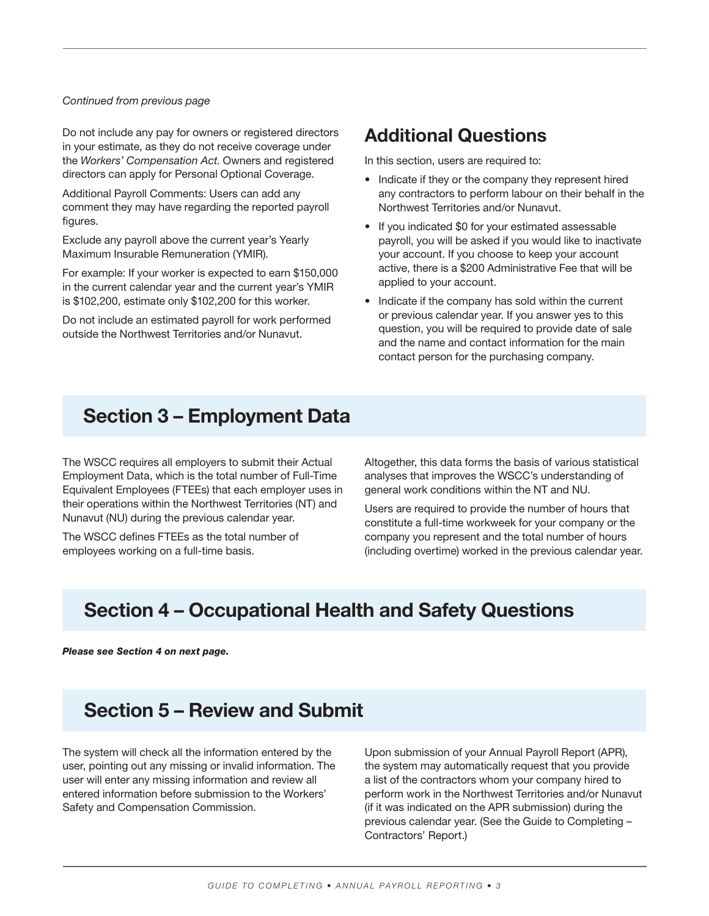#### *Continued from previous page*

Do not include any pay for owners or registered directors in your estimate, as they do not receive coverage under the *Workers' Compensation Act*. Owners and registered directors can apply for Personal Optional Coverage.

Additional Payroll Comments: Users can add any comment they may have regarding the reported payroll figures.

Exclude any payroll above the current year's Yearly Maximum Insurable Remuneration (YMIR).

For example: If your worker is expected to earn \$150,000 in the current calendar year and the current year's YMIR is \$102,200, estimate only \$102,200 for this worker.

Do not include an estimated payroll for work performed outside the Northwest Territories and/or Nunavut.

#### Additional Questions

In this section, users are required to:

- Indicate if they or the company they represent hired any contractors to perform labour on their behalf in the Northwest Territories and/or Nunavut.
- If you indicated \$0 for your estimated assessable payroll, you will be asked if you would like to inactivate your account. If you choose to keep your account active, there is a \$200 Administrative Fee that will be applied to your account.
- Indicate if the company has sold within the current or previous calendar year. If you answer yes to this question, you will be required to provide date of sale and the name and contact information for the main contact person for the purchasing company.

#### Section 3 – Employment Data

The WSCC requires all employers to submit their Actual Employment Data, which is the total number of Full-Time Equivalent Employees (FTEEs) that each employer uses in their operations within the Northwest Territories (NT) and Nunavut (NU) during the previous calendar year.

The WSCC defines FTEEs as the total number of employees working on a full-time basis.

Altogether, this data forms the basis of various statistical analyses that improves the WSCC's understanding of general work conditions within the NT and NU.

Users are required to provide the number of hours that constitute a full-time workweek for your company or the company you represent and the total number of hours (including overtime) worked in the previous calendar year.

## Section 4 – Occupational Health and Safety Questions

*Please see Section 4 on next page.*

## Section 5 – Review and Submit

The system will check all the information entered by the user, pointing out any missing or invalid information. The user will enter any missing information and review all entered information before submission to the Workers' Safety and Compensation Commission.

Upon submission of your Annual Payroll Report (APR), the system may automatically request that you provide a list of the contractors whom your company hired to perform work in the Northwest Territories and/or Nunavut (if it was indicated on the APR submission) during the previous calendar year. (See the Guide to Completing – Contractors' Report.)